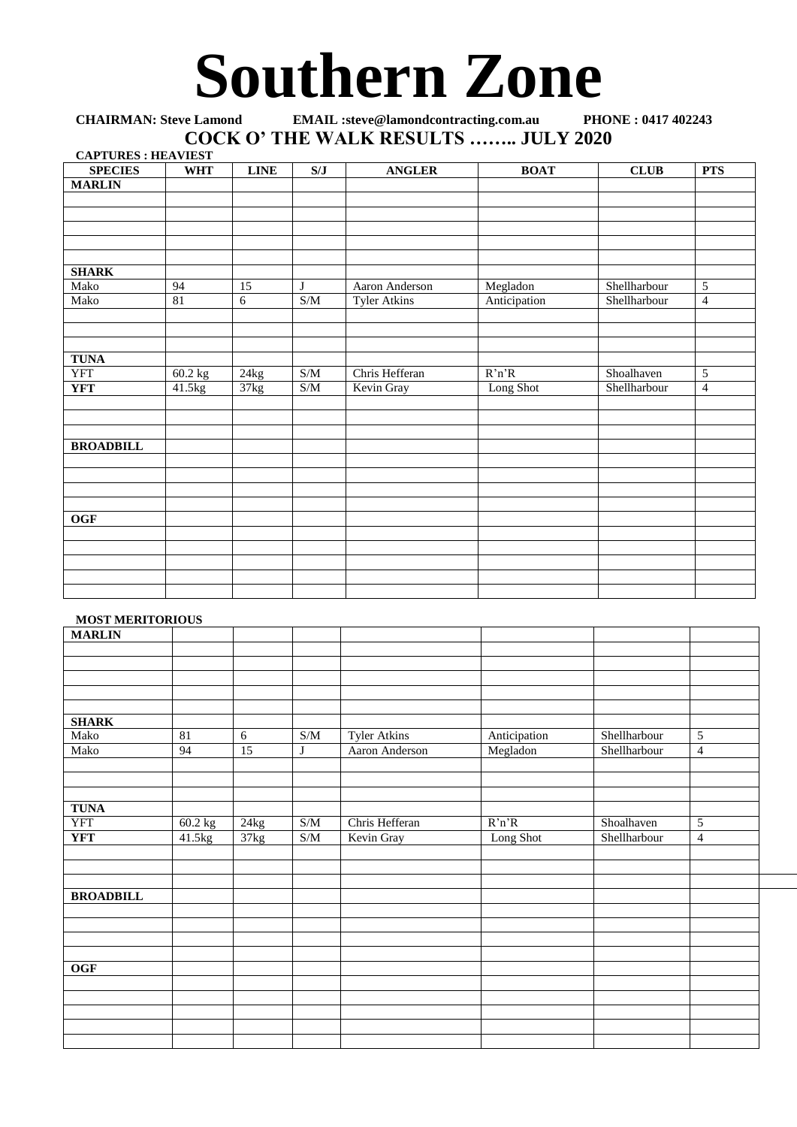## **Southern Zone**

## **CHAIRMAN: Steve Lamond EMAIL :steve@lamondcontracting.com.au PHONE : 0417 402243 COCK O' THE WALK RESULTS …….. JULY 2020 CAPTURES : HEAVIEST**

| <b>CAPTURES : HEAVIEST</b> |            |                   |                                                   |                     |              |              |                |
|----------------------------|------------|-------------------|---------------------------------------------------|---------------------|--------------|--------------|----------------|
| <b>SPECIES</b>             | <b>WHT</b> | <b>LINE</b>       | S/J                                               | <b>ANGLER</b>       | <b>BOAT</b>  | <b>CLUB</b>  | <b>PTS</b>     |
| <b>MARLIN</b>              |            |                   |                                                   |                     |              |              |                |
|                            |            |                   |                                                   |                     |              |              |                |
|                            |            |                   |                                                   |                     |              |              |                |
|                            |            |                   |                                                   |                     |              |              |                |
|                            |            |                   |                                                   |                     |              |              |                |
|                            |            |                   |                                                   |                     |              |              |                |
| <b>SHARK</b>               |            |                   |                                                   |                     |              |              |                |
| Mako                       | 94         | 15                | $\mathbf{J}$                                      | Aaron Anderson      | Megladon     | Shellharbour | 5              |
| Mako                       | 81         | 6                 | S/M                                               | <b>Tyler Atkins</b> | Anticipation | Shellharbour | $\overline{4}$ |
|                            |            |                   |                                                   |                     |              |              |                |
|                            |            |                   |                                                   |                     |              |              |                |
|                            |            |                   |                                                   |                     |              |              |                |
| <b>TUNA</b>                |            |                   |                                                   |                     |              |              |                |
| <b>YFT</b>                 | 60.2 kg    | 24kg              | S/M                                               | Chris Hefferan      | R'n'R        | Shoalhaven   | $\overline{5}$ |
| <b>YFT</b>                 | 41.5kg     | $\frac{1}{37}$ kg | $\ensuremath{\mathrm{S}}/\ensuremath{\mathrm{M}}$ | Kevin Gray          | Long Shot    | Shellharbour | $\overline{4}$ |
|                            |            |                   |                                                   |                     |              |              |                |
|                            |            |                   |                                                   |                     |              |              |                |
|                            |            |                   |                                                   |                     |              |              |                |
| <b>BROADBILL</b>           |            |                   |                                                   |                     |              |              |                |
|                            |            |                   |                                                   |                     |              |              |                |
|                            |            |                   |                                                   |                     |              |              |                |
|                            |            |                   |                                                   |                     |              |              |                |
|                            |            |                   |                                                   |                     |              |              |                |
| $\overline{OGF}$           |            |                   |                                                   |                     |              |              |                |
|                            |            |                   |                                                   |                     |              |              |                |
|                            |            |                   |                                                   |                     |              |              |                |
|                            |            |                   |                                                   |                     |              |              |                |
|                            |            |                   |                                                   |                     |              |              |                |
|                            |            |                   |                                                   |                     |              |              |                |

## **MOST MERITORIOUS**

|                  | ------  |                                   |                                                   |                     |              |              |                |
|------------------|---------|-----------------------------------|---------------------------------------------------|---------------------|--------------|--------------|----------------|
| <b>MARLIN</b>    |         |                                   |                                                   |                     |              |              |                |
|                  |         |                                   |                                                   |                     |              |              |                |
|                  |         |                                   |                                                   |                     |              |              |                |
|                  |         |                                   |                                                   |                     |              |              |                |
|                  |         |                                   |                                                   |                     |              |              |                |
|                  |         |                                   |                                                   |                     |              |              |                |
| <b>SHARK</b>     |         |                                   |                                                   |                     |              |              |                |
| Mako             | 81      | 6                                 | $\ensuremath{\mathrm{S}}/\ensuremath{\mathrm{M}}$ | <b>Tyler Atkins</b> | Anticipation | Shellharbour | 5              |
| Mako             | 94      | $\overline{15}$                   | J                                                 | Aaron Anderson      | Megladon     | Shellharbour | $\overline{4}$ |
|                  |         |                                   |                                                   |                     |              |              |                |
|                  |         |                                   |                                                   |                     |              |              |                |
|                  |         |                                   |                                                   |                     |              |              |                |
| <b>TUNA</b>      |         |                                   |                                                   |                     |              |              |                |
|                  |         |                                   |                                                   |                     |              |              |                |
| <b>YFT</b>       | 60.2 kg | $\frac{24\text{kg}}{24\text{kg}}$ | $\sqrt{\text{SM}}$                                | Chris Hefferan      | R'n'R        | Shoalhaven   | 5              |
| <b>YFT</b>       | 41.5kg  | 37kg                              | S/M                                               | Kevin Gray          | Long Shot    | Shellharbour | $\overline{4}$ |
|                  |         |                                   |                                                   |                     |              |              |                |
|                  |         |                                   |                                                   |                     |              |              |                |
|                  |         |                                   |                                                   |                     |              |              |                |
| <b>BROADBILL</b> |         |                                   |                                                   |                     |              |              |                |
|                  |         |                                   |                                                   |                     |              |              |                |
|                  |         |                                   |                                                   |                     |              |              |                |
|                  |         |                                   |                                                   |                     |              |              |                |
|                  |         |                                   |                                                   |                     |              |              |                |
| OGF              |         |                                   |                                                   |                     |              |              |                |
|                  |         |                                   |                                                   |                     |              |              |                |
|                  |         |                                   |                                                   |                     |              |              |                |
|                  |         |                                   |                                                   |                     |              |              |                |
|                  |         |                                   |                                                   |                     |              |              |                |
|                  |         |                                   |                                                   |                     |              |              |                |
|                  |         |                                   |                                                   |                     |              |              |                |